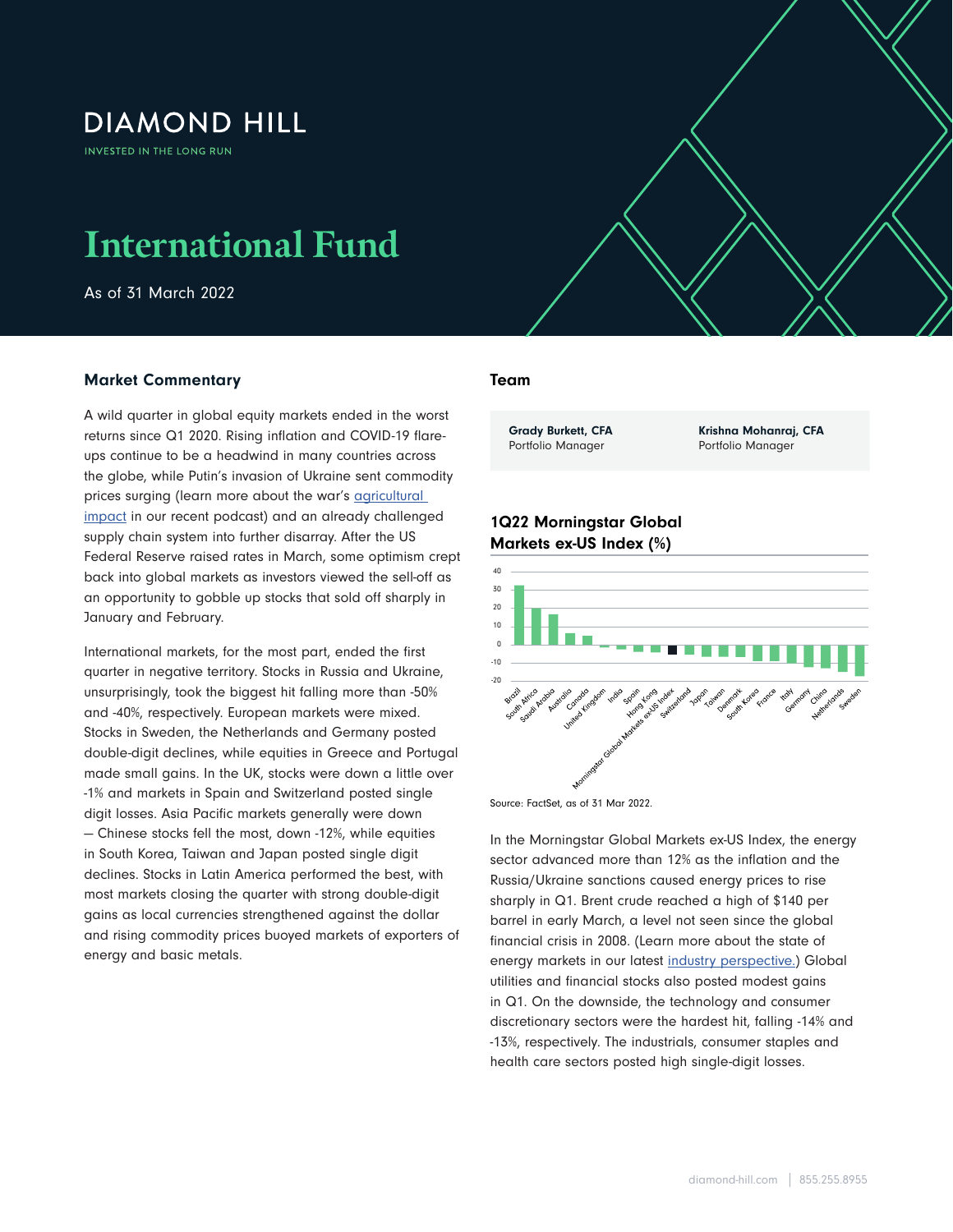# **DIAMOND HILL**

**INVESTED IN THE LONG RUN** 

# **International Fund**

As of 31 March 2022

## Market Commentary

A wild quarter in global equity markets ended in the worst returns since Q1 2020. Rising inflation and COVID-19 flareups continue to be a headwind in many countries across the globe, while Putin's invasion of Ukraine sent commodity prices surging (learn more about the war's agricultural [impact](https://www.diamond-hill.com/insights/a-401/agricultural-impact-from-putins-war.fs) in our recent podcast) and an already challenged supply chain system into further disarray. After the US Federal Reserve raised rates in March, some optimism crept back into global markets as investors viewed the sell-off as an opportunity to gobble up stocks that sold off sharply in January and February.

International markets, for the most part, ended the first quarter in negative territory. Stocks in Russia and Ukraine, unsurprisingly, took the biggest hit falling more than -50% and -40%, respectively. European markets were mixed. Stocks in Sweden, the Netherlands and Germany posted double-digit declines, while equities in Greece and Portugal made small gains. In the UK, stocks were down a little over -1% and markets in Spain and Switzerland posted single digit losses. Asia Pacific markets generally were down — Chinese stocks fell the most, down -12%, while equities in South Korea, Taiwan and Japan posted single digit declines. Stocks in Latin America performed the best, with most markets closing the quarter with strong double-digit gains as local currencies strengthened against the dollar and rising commodity prices buoyed markets of exporters of energy and basic metals.

#### Team

International Fund As of 31 March 2022  $\mathcal{I}$ 

Grady Burkett, CFA Portfolio Manager

Krishna Mohanraj, CFA Portfolio Manager

## 1Q22 Morningstar Global Markets ex-US Index (%)



Source: FactSet, as of 31 Mar 2022.

In the Morningstar Global Markets ex-US Index, the energy sector advanced more than 12% as the inflation and the Russia/Ukraine sanctions caused energy prices to rise sharply in Q1. Brent crude reached a high of \$140 per barrel in early March, a level not seen since the global financial crisis in 2008. (Learn more about the state of energy markets in our latest [industry perspective.](https://www.diamond-hill.com/insights/a-400/geopolitics-the-state-of-energy-markets-today.fs)) Global utilities and financial stocks also posted modest gains in Q1. On the downside, the technology and consumer discretionary sectors were the hardest hit, falling -14% and -13%, respectively. The industrials, consumer staples and health care sectors posted high single-digit losses.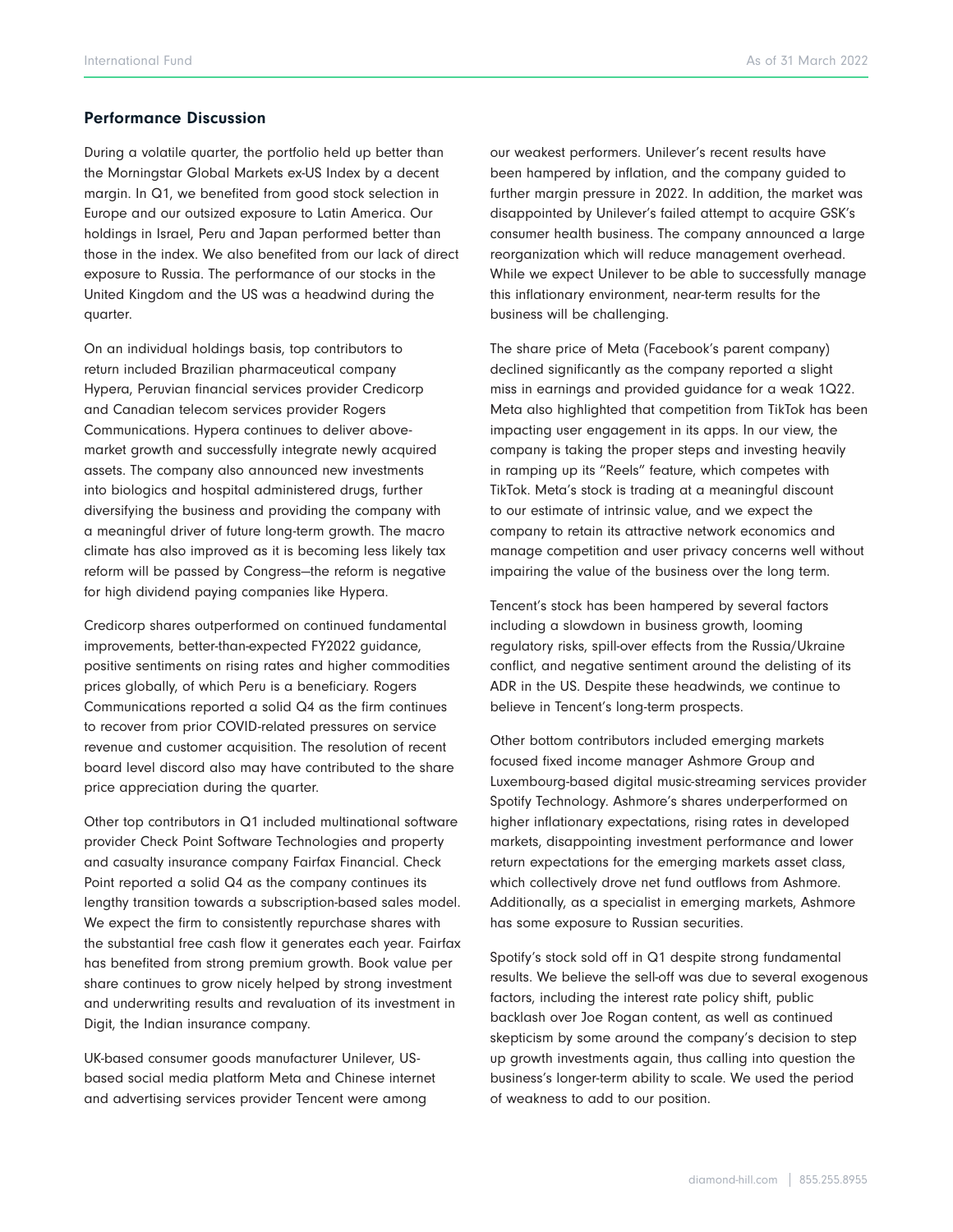#### Performance Discussion

During a volatile quarter, the portfolio held up better than the Morningstar Global Markets ex-US Index by a decent margin. In Q1, we benefited from good stock selection in Europe and our outsized exposure to Latin America. Our holdings in Israel, Peru and Japan performed better than those in the index. We also benefited from our lack of direct exposure to Russia. The performance of our stocks in the United Kingdom and the US was a headwind during the quarter.

On an individual holdings basis, top contributors to return included Brazilian pharmaceutical company Hypera, Peruvian financial services provider Credicorp and Canadian telecom services provider Rogers Communications. Hypera continues to deliver abovemarket growth and successfully integrate newly acquired assets. The company also announced new investments into biologics and hospital administered drugs, further diversifying the business and providing the company with a meaningful driver of future long-term growth. The macro climate has also improved as it is becoming less likely tax reform will be passed by Congress—the reform is negative for high dividend paying companies like Hypera.

Credicorp shares outperformed on continued fundamental improvements, better-than-expected FY2022 guidance, positive sentiments on rising rates and higher commodities prices globally, of which Peru is a beneficiary. Rogers Communications reported a solid Q4 as the firm continues to recover from prior COVID-related pressures on service revenue and customer acquisition. The resolution of recent board level discord also may have contributed to the share price appreciation during the quarter.

Other top contributors in Q1 included multinational software provider Check Point Software Technologies and property and casualty insurance company Fairfax Financial. Check Point reported a solid Q4 as the company continues its lengthy transition towards a subscription-based sales model. We expect the firm to consistently repurchase shares with the substantial free cash flow it generates each year. Fairfax has benefited from strong premium growth. Book value per share continues to grow nicely helped by strong investment and underwriting results and revaluation of its investment in Digit, the Indian insurance company.

UK-based consumer goods manufacturer Unilever, USbased social media platform Meta and Chinese internet and advertising services provider Tencent were among

our weakest performers. Unilever's recent results have been hampered by inflation, and the company guided to further margin pressure in 2022. In addition, the market was disappointed by Unilever's failed attempt to acquire GSK's consumer health business. The company announced a large reorganization which will reduce management overhead. While we expect Unilever to be able to successfully manage this inflationary environment, near-term results for the business will be challenging.

The share price of Meta (Facebook's parent company) declined significantly as the company reported a slight miss in earnings and provided guidance for a weak 1Q22. Meta also highlighted that competition from TikTok has been impacting user engagement in its apps. In our view, the company is taking the proper steps and investing heavily in ramping up its "Reels" feature, which competes with TikTok. Meta's stock is trading at a meaningful discount to our estimate of intrinsic value, and we expect the company to retain its attractive network economics and manage competition and user privacy concerns well without impairing the value of the business over the long term.

Tencent's stock has been hampered by several factors including a slowdown in business growth, looming regulatory risks, spill-over effects from the Russia/Ukraine conflict, and negative sentiment around the delisting of its ADR in the US. Despite these headwinds, we continue to believe in Tencent's long-term prospects.

Other bottom contributors included emerging markets focused fixed income manager Ashmore Group and Luxembourg-based digital music-streaming services provider Spotify Technology. Ashmore's shares underperformed on higher inflationary expectations, rising rates in developed markets, disappointing investment performance and lower return expectations for the emerging markets asset class, which collectively drove net fund outflows from Ashmore. Additionally, as a specialist in emerging markets, Ashmore has some exposure to Russian securities.

Spotify's stock sold off in Q1 despite strong fundamental results. We believe the sell-off was due to several exogenous factors, including the interest rate policy shift, public backlash over Joe Rogan content, as well as continued skepticism by some around the company's decision to step up growth investments again, thus calling into question the business's longer-term ability to scale. We used the period of weakness to add to our position.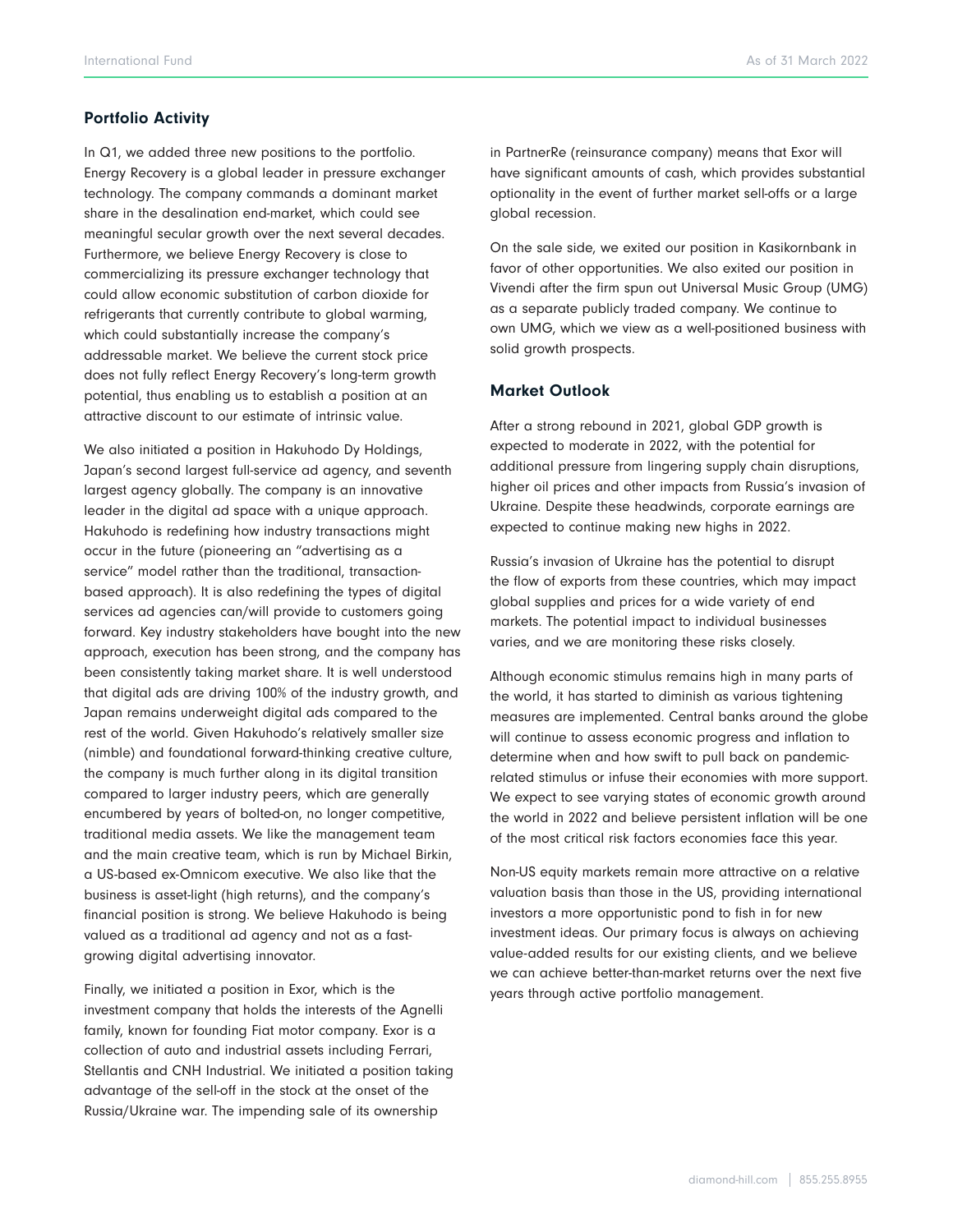#### Portfolio Activity

In Q1, we added three new positions to the portfolio. Energy Recovery is a global leader in pressure exchanger technology. The company commands a dominant market share in the desalination end-market, which could see meaningful secular growth over the next several decades. Furthermore, we believe Energy Recovery is close to commercializing its pressure exchanger technology that could allow economic substitution of carbon dioxide for refrigerants that currently contribute to global warming, which could substantially increase the company's addressable market. We believe the current stock price does not fully reflect Energy Recovery's long-term growth potential, thus enabling us to establish a position at an attractive discount to our estimate of intrinsic value.

We also initiated a position in Hakuhodo Dy Holdings, Japan's second largest full-service ad agency, and seventh largest agency globally. The company is an innovative leader in the digital ad space with a unique approach. Hakuhodo is redefining how industry transactions might occur in the future (pioneering an "advertising as a service" model rather than the traditional, transactionbased approach). It is also redefining the types of digital services ad agencies can/will provide to customers going forward. Key industry stakeholders have bought into the new approach, execution has been strong, and the company has been consistently taking market share. It is well understood that digital ads are driving 100% of the industry growth, and Japan remains underweight digital ads compared to the rest of the world. Given Hakuhodo's relatively smaller size (nimble) and foundational forward-thinking creative culture, the company is much further along in its digital transition compared to larger industry peers, which are generally encumbered by years of bolted-on, no longer competitive, traditional media assets. We like the management team and the main creative team, which is run by Michael Birkin, a US-based ex-Omnicom executive. We also like that the business is asset-light (high returns), and the company's financial position is strong. We believe Hakuhodo is being valued as a traditional ad agency and not as a fastgrowing digital advertising innovator.

Finally, we initiated a position in Exor, which is the investment company that holds the interests of the Agnelli family, known for founding Fiat motor company. Exor is a collection of auto and industrial assets including Ferrari, Stellantis and CNH Industrial. We initiated a position taking advantage of the sell-off in the stock at the onset of the Russia/Ukraine war. The impending sale of its ownership

in PartnerRe (reinsurance company) means that Exor will have significant amounts of cash, which provides substantial optionality in the event of further market sell-offs or a large global recession.

On the sale side, we exited our position in Kasikornbank in favor of other opportunities. We also exited our position in Vivendi after the firm spun out Universal Music Group (UMG) as a separate publicly traded company. We continue to own UMG, which we view as a well-positioned business with solid growth prospects.

#### Market Outlook

After a strong rebound in 2021, global GDP growth is expected to moderate in 2022, with the potential for additional pressure from lingering supply chain disruptions, higher oil prices and other impacts from Russia's invasion of Ukraine. Despite these headwinds, corporate earnings are expected to continue making new highs in 2022.

Russia's invasion of Ukraine has the potential to disrupt the flow of exports from these countries, which may impact global supplies and prices for a wide variety of end markets. The potential impact to individual businesses varies, and we are monitoring these risks closely.

Although economic stimulus remains high in many parts of the world, it has started to diminish as various tightening measures are implemented. Central banks around the globe will continue to assess economic progress and inflation to determine when and how swift to pull back on pandemicrelated stimulus or infuse their economies with more support. We expect to see varying states of economic growth around the world in 2022 and believe persistent inflation will be one of the most critical risk factors economies face this year.

Non-US equity markets remain more attractive on a relative valuation basis than those in the US, providing international investors a more opportunistic pond to fish in for new investment ideas. Our primary focus is always on achieving value-added results for our existing clients, and we believe we can achieve better-than-market returns over the next five years through active portfolio management.